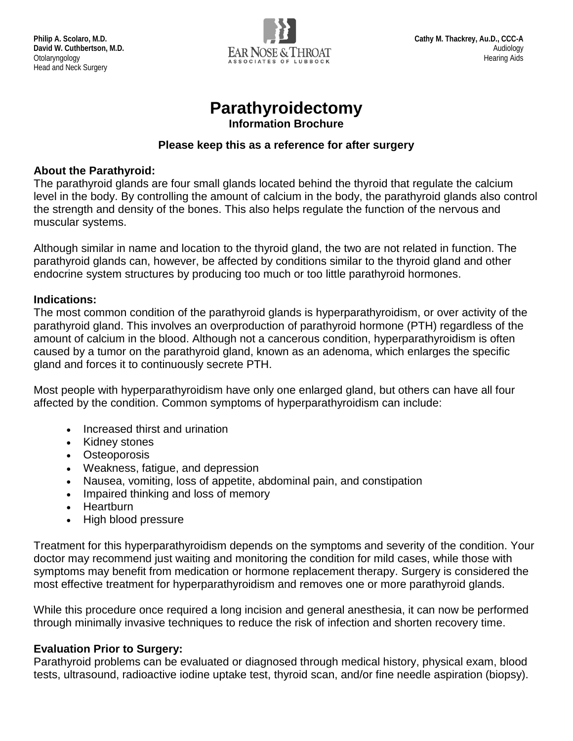

# **Parathyroidectomy**

**Information Brochure**

## **Please keep this as a reference for after surgery**

## **About the Parathyroid:**

The parathyroid glands are four small glands located behind the thyroid that regulate the calcium level in the body. By controlling the amount of calcium in the body, the parathyroid glands also control the strength and density of the bones. This also helps regulate the function of the nervous and muscular systems.

Although similar in name and location to the thyroid gland, the two are not related in function. The parathyroid glands can, however, be affected by conditions similar to the thyroid gland and other endocrine system structures by producing too much or too little parathyroid hormones.

## **Indications:**

The most common condition of the parathyroid glands is hyperparathyroidism, or over activity of the parathyroid gland. This involves an overproduction of parathyroid hormone (PTH) regardless of the amount of calcium in the blood. Although not a cancerous condition, hyperparathyroidism is often caused by a tumor on the parathyroid gland, known as an adenoma, which enlarges the specific gland and forces it to continuously secrete PTH.

Most people with hyperparathyroidism have only one enlarged gland, but others can have all four affected by the condition. Common symptoms of hyperparathyroidism can include:

- Increased thirst and urination
- Kidney stones
- Osteoporosis
- Weakness, fatigue, and depression
- Nausea, vomiting, loss of appetite, abdominal pain, and constipation
- Impaired thinking and loss of memory
- Heartburn
- High blood pressure

Treatment for this hyperparathyroidism depends on the symptoms and severity of the condition. Your doctor may recommend just waiting and monitoring the condition for mild cases, while those with symptoms may benefit from medication or hormone replacement therapy. Surgery is considered the most effective treatment for hyperparathyroidism and removes one or more parathyroid glands.

While this procedure once required a long incision and general anesthesia, it can now be performed through minimally invasive techniques to reduce the risk of infection and shorten recovery time.

# **Evaluation Prior to Surgery:**

Parathyroid problems can be evaluated or diagnosed through medical history, physical exam, blood tests, ultrasound, radioactive iodine uptake test, thyroid scan, and/or fine needle aspiration (biopsy).